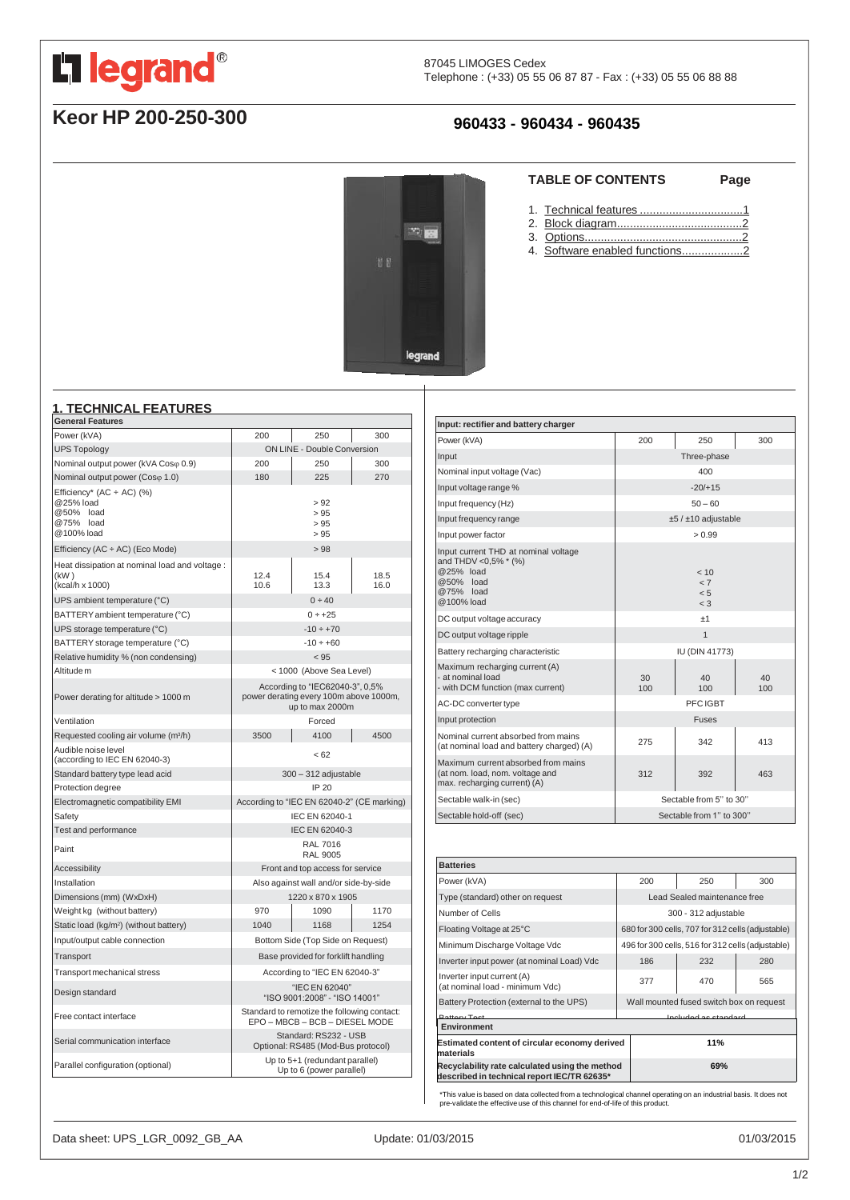<span id="page-0-0"></span>

# **Keor HP 200-250-300**

# **960433 - 960434 - 960435**

 $\mathbb{Z}$  is

legrand

### **TABLE OF CONTENTS Page**

- 1. Technical features ...[................................1](#page-0-0)
- 2. Block [diagram.......................................2](#page-1-0)
- 3. [Options.................................................2](#page-1-0)
- 4. Software enabled functions....................2

#### **1. TECHNICAL FEATURES**

| <b>General Features</b>                                                        |                                                                                              |                   |              |
|--------------------------------------------------------------------------------|----------------------------------------------------------------------------------------------|-------------------|--------------|
| Power (kVA)                                                                    | 200                                                                                          | 250               | 300          |
| <b>UPS Topology</b>                                                            | <b>ON LINE - Double Conversion</b>                                                           |                   |              |
| Nominal output power (kVA Coso 0.9)                                            | 200                                                                                          | 250               | 300          |
| Nominal output power (Coso 1.0)                                                | 180                                                                                          | 225               | 270          |
| Efficiency* (AC ÷ AC) (%)<br>@25% load<br>@50% load<br>@75% load<br>@100% load | > 92<br>>95<br>>95<br>> 95                                                                   |                   |              |
| Efficiency (AC ÷ AC) (Eco Mode)                                                |                                                                                              | >98               |              |
| Heat dissipation at nominal load and voltage :<br>(kW)<br>(kcal/h x 1000)      | 12.4<br>10.6                                                                                 | 15.4<br>13.3      | 18.5<br>16.0 |
| UPS ambient temperature (°C)                                                   |                                                                                              | 0 ÷ 40            |              |
| BATTERY ambient temperature (°C)                                               | $0 ÷ +25$                                                                                    |                   |              |
| UPS storage temperature (°C)                                                   | $-10 \div +70$                                                                               |                   |              |
| BATTERY storage temperature (°C)                                               | $-10 \div +60$                                                                               |                   |              |
| Relative humidity % (non condensing)                                           | < 95                                                                                         |                   |              |
| Altitude m                                                                     | < 1000 (Above Sea Level)                                                                     |                   |              |
| Power derating for altitude > 1000 m                                           | According to "IEC62040-3", 0,5%<br>power derating every 100m above 1000m,<br>up to max 2000m |                   |              |
| Ventilation                                                                    | Forced                                                                                       |                   |              |
| Requested cooling air volume (m <sup>3</sup> /h)                               | 3500                                                                                         | 4100              | 4500         |
| Audible noise level<br>(according to IEC EN 62040-3)                           | < 62                                                                                         |                   |              |
| Standard battery type lead acid                                                | $300 - 312$ adjustable                                                                       |                   |              |
| Protection degree                                                              | IP 20                                                                                        |                   |              |
| Electromagnetic compatibility EMI                                              | According to "IEC EN 62040-2" (CE marking)                                                   |                   |              |
| Safety                                                                         | IEC EN 62040-1                                                                               |                   |              |
| Test and performance                                                           | IEC EN 62040-3                                                                               |                   |              |
| Paint                                                                          | <b>RAL 7016</b><br><b>RAL 9005</b>                                                           |                   |              |
| Accessibility                                                                  | Front and top access for service                                                             |                   |              |
| Installation                                                                   | Also against wall and/or side-by-side                                                        |                   |              |
| Dimensions (mm) (WxDxH)                                                        |                                                                                              | 1220 x 870 x 1905 |              |
| Weight kg (without battery)                                                    | 970                                                                                          | 1090              | 1170         |
| Static load (kg/m <sup>2</sup> ) (without battery)                             | 1040                                                                                         | 1168              | 1254         |
| Input/output cable connection                                                  | Bottom Side (Top Side on Request)                                                            |                   |              |
| Transport                                                                      | Base provided for forklift handling                                                          |                   |              |
| Transport mechanical stress                                                    | According to "IEC EN 62040-3"                                                                |                   |              |
| Design standard                                                                | "IEC EN 62040"<br>"ISO 9001:2008" - "ISO 14001"                                              |                   |              |
| Free contact interface                                                         | Standard to remotize the following contact:<br>EPO - MBCB - BCB - DIESEL MODE                |                   |              |
| Serial communication interface                                                 | Standard: RS232 - USB<br>Optional: RS485 (Mod-Bus protocol)                                  |                   |              |
| Parallel configuration (optional)                                              | Up to 5+1 (redundant parallel)<br>Up to 6 (power parallel)                                   |                   |              |

| Input: rectifier and battery charger                                                                              |                                  |           |           |
|-------------------------------------------------------------------------------------------------------------------|----------------------------------|-----------|-----------|
| Power (kVA)                                                                                                       | 200                              | 250       | 300       |
| Input                                                                                                             | Three-phase                      |           |           |
| Nominal input voltage (Vac)                                                                                       | 400                              |           |           |
| Input voltage range %                                                                                             | $-20/+15$                        |           |           |
| Input frequency (Hz)                                                                                              | $50 - 60$                        |           |           |
| Input frequency range                                                                                             | $±5/±10$ adjustable              |           |           |
| Input power factor                                                                                                | > 0.99                           |           |           |
| Input current THD at nominal voltage<br>and THDV <0,5% * (%)<br>@25% load<br>@50% load<br>@75% load<br>@100% load | 10<br>$\lt$ 7<br>< 5<br>$\leq$ 3 |           |           |
| DC output voltage accuracy                                                                                        | ±1                               |           |           |
| DC output voltage ripple                                                                                          | $\mathbf{1}$                     |           |           |
| Battery recharging characteristic                                                                                 | IU (DIN 41773)                   |           |           |
| Maximum recharging current (A)<br>- at nominal load<br>- with DCM function (max current)                          | 30<br>100                        | 40<br>100 | 40<br>100 |
| AC-DC converter type                                                                                              | PFC IGBT                         |           |           |
| Input protection                                                                                                  | <b>Fuses</b>                     |           |           |
| Nominal current absorbed from mains<br>(at nominal load and battery charged) (A)                                  | 275                              | 342       | 413       |
| Maximum current absorbed from mains<br>(at nom. load, nom. voltage and<br>max. recharging current) (A)            | 312                              | 392       | 463       |
| Sectable walk-in (sec)                                                                                            | Sectable from 5" to 30"          |           |           |
| Sectable hold-off (sec)                                                                                           | Sectable from 1" to 300"         |           |           |

| <b>Batteries</b>                                                                              |                                                   |                              |     |     |
|-----------------------------------------------------------------------------------------------|---------------------------------------------------|------------------------------|-----|-----|
| Power (kVA)                                                                                   |                                                   | 200                          | 250 | 300 |
| Type (standard) other on request                                                              |                                                   | Lead Sealed maintenance free |     |     |
| Number of Cells                                                                               |                                                   | 300 - 312 adjustable         |     |     |
| Floating Voltage at 25°C                                                                      | 680 for 300 cells, 707 for 312 cells (adjustable) |                              |     |     |
| Minimum Discharge Voltage Vdc                                                                 | 496 for 300 cells, 516 for 312 cells (adjustable) |                              |     |     |
| Inverter input power (at nominal Load) Vdc                                                    |                                                   | 186                          | 232 | 280 |
| Inverter input current (A)<br>(at nominal load - minimum Vdc)                                 |                                                   | 377                          | 470 | 565 |
| Battery Protection (external to the UPS)                                                      | Wall mounted fused switch box on request          |                              |     |     |
| <b>Botton</b> Toot                                                                            | Included as standard                              |                              |     |     |
| Environment                                                                                   |                                                   |                              |     |     |
| Estimated content of circular economy derived<br>materials                                    |                                                   |                              | 11% |     |
| Recyclability rate calculated using the method<br>described in technical report IEC/TR 62635* |                                                   |                              | 69% |     |

\*This value is based on data collected from a technological channel operating on an industrial basis. It does not pre-validate the effective use of this channel for end-of-life of this product.